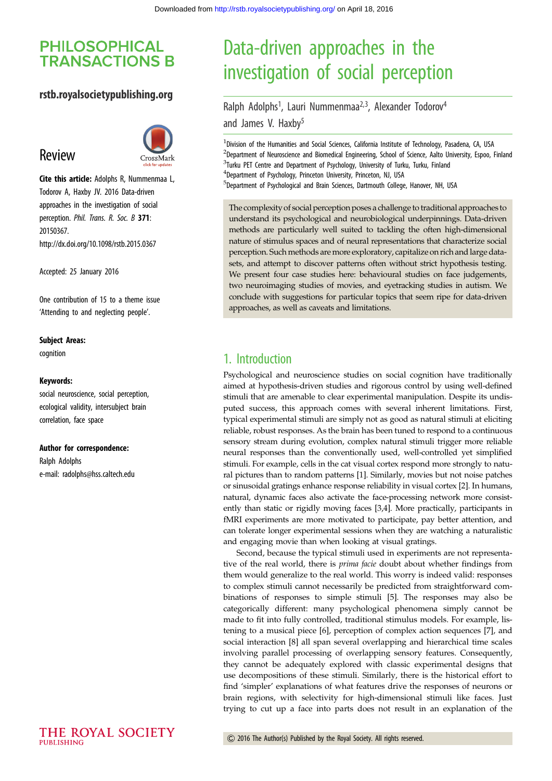# **PHILOSOPHICAL TRANSACTIONS B**

#### rstb.royalsocietypublishing.org

# Review



Cite this article: Adolphs R, Nummenmaa L, Todorov A, Haxby JV. 2016 Data-driven approaches in the investigation of social perception. Phil. Trans. R. Soc. B 371: 20150367. http://dx.doi.org/10.1098/rstb.2015.0367

Accepted: 25 January 2016

One contribution of 15 to a theme issue 'Attending to and neglecting people'.

#### Subject Areas:

cognition

#### Keywords:

social neuroscience, social perception, ecological validity, intersubject brain correlation, face space

#### Author for correspondence:

Ralph Adolphs e-mail: [radolphs@hss.caltech.edu](mailto:radolphs@hss.caltech.edu)

# Data-driven approaches in the investigation of social perception

Ralph Adolphs<sup>1</sup>, Lauri Nummenmaa<sup>2,3</sup>, Alexander Todorov<sup>4</sup>

and James V. Haxby<sup>5</sup>

<sup>1</sup>Division of the Humanities and Social Sciences, California Institute of Technology, Pasadena, CA, USA <sup>2</sup>Department of Neuroscience and Biomedical Engineering, School of Science, Aalto University, Espoo, Finland <sup>3</sup>Turku PET Centre and Department of Psychology, University of Turku, Turku, Finland 4 Department of Psychology, Princeton University, Princeton, NJ, USA <sup>5</sup>Department of Psychological and Brain Sciences, Dartmouth College, Hanover, NH, USA

The complexity of social perception poses a challenge to traditional approaches to understand its psychological and neurobiological underpinnings. Data-driven methods are particularly well suited to tackling the often high-dimensional nature of stimulus spaces and of neural representations that characterize social perception. Such methods are more exploratory, capitalize on rich and large datasets, and attempt to discover patterns often without strict hypothesis testing. We present four case studies here: behavioural studies on face judgements, two neuroimaging studies of movies, and eyetracking studies in autism. We conclude with suggestions for particular topics that seem ripe for data-driven approaches, as well as caveats and limitations.

#### 1. Introduction

Psychological and neuroscience studies on social cognition have traditionally aimed at hypothesis-driven studies and rigorous control by using well-defined stimuli that are amenable to clear experimental manipulation. Despite its undisputed success, this approach comes with several inherent limitations. First, typical experimental stimuli are simply not as good as natural stimuli at eliciting reliable, robust responses. As the brain has been tuned to respond to a continuous sensory stream during evolution, complex natural stimuli trigger more reliable neural responses than the conventionally used, well-controlled yet simplified stimuli. For example, cells in the cat visual cortex respond more strongly to natural pictures than to random patterns [[1](#page-8-0)]. Similarly, movies but not noise patches or sinusoidal gratings enhance response reliability in visual cortex [[2](#page-8-0)]. In humans, natural, dynamic faces also activate the face-processing network more consistently than static or rigidly moving faces [\[3,4](#page-8-0)]. More practically, participants in fMRI experiments are more motivated to participate, pay better attention, and can tolerate longer experimental sessions when they are watching a naturalistic and engaging movie than when looking at visual gratings.

Second, because the typical stimuli used in experiments are not representative of the real world, there is prima facie doubt about whether findings from them would generalize to the real world. This worry is indeed valid: responses to complex stimuli cannot necessarily be predicted from straightforward combinations of responses to simple stimuli [[5](#page-8-0)]. The responses may also be categorically different: many psychological phenomena simply cannot be made to fit into fully controlled, traditional stimulus models. For example, listening to a musical piece [\[6\]](#page-8-0), perception of complex action sequences [[7](#page-8-0)], and social interaction [\[8\]](#page-8-0) all span several overlapping and hierarchical time scales involving parallel processing of overlapping sensory features. Consequently, they cannot be adequately explored with classic experimental designs that use decompositions of these stimuli. Similarly, there is the historical effort to find 'simpler' explanations of what features drive the responses of neurons or brain regions, with selectivity for high-dimensional stimuli like faces. Just trying to cut up a face into parts does not result in an explanation of the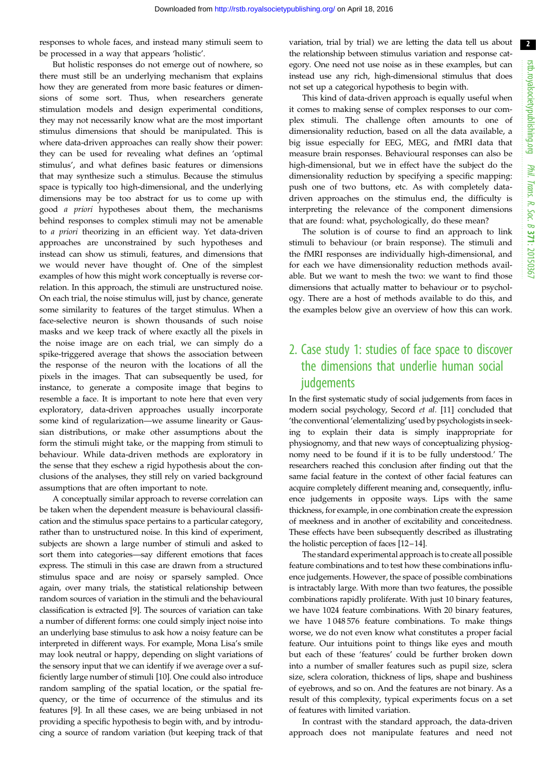responses to whole faces, and instead many stimuli seem to be processed in a way that appears 'holistic'.

But holistic responses do not emerge out of nowhere, so there must still be an underlying mechanism that explains how they are generated from more basic features or dimensions of some sort. Thus, when researchers generate stimulation models and design experimental conditions, they may not necessarily know what are the most important stimulus dimensions that should be manipulated. This is where data-driven approaches can really show their power: they can be used for revealing what defines an 'optimal stimulus', and what defines basic features or dimensions that may synthesize such a stimulus. Because the stimulus space is typically too high-dimensional, and the underlying dimensions may be too abstract for us to come up with good a priori hypotheses about them, the mechanisms behind responses to complex stimuli may not be amenable to a priori theorizing in an efficient way. Yet data-driven approaches are unconstrained by such hypotheses and instead can show us stimuli, features, and dimensions that we would never have thought of. One of the simplest examples of how this might work conceptually is reverse correlation. In this approach, the stimuli are unstructured noise. On each trial, the noise stimulus will, just by chance, generate some similarity to features of the target stimulus. When a face-selective neuron is shown thousands of such noise masks and we keep track of where exactly all the pixels in the noise image are on each trial, we can simply do a spike-triggered average that shows the association between the response of the neuron with the locations of all the pixels in the images. That can subsequently be used, for instance, to generate a composite image that begins to resemble a face. It is important to note here that even very exploratory, data-driven approaches usually incorporate some kind of regularization—we assume linearity or Gaussian distributions, or make other assumptions about the form the stimuli might take, or the mapping from stimuli to behaviour. While data-driven methods are exploratory in the sense that they eschew a rigid hypothesis about the conclusions of the analyses, they still rely on varied background assumptions that are often important to note.

A conceptually similar approach to reverse correlation can be taken when the dependent measure is behavioural classification and the stimulus space pertains to a particular category, rather than to unstructured noise. In this kind of experiment, subjects are shown a large number of stimuli and asked to sort them into categories—say different emotions that faces express. The stimuli in this case are drawn from a structured stimulus space and are noisy or sparsely sampled. Once again, over many trials, the statistical relationship between random sources of variation in the stimuli and the behavioural classification is extracted [\[9\]](#page-8-0). The sources of variation can take a number of different forms: one could simply inject noise into an underlying base stimulus to ask how a noisy feature can be interpreted in different ways. For example, Mona Lisa's smile may look neutral or happy, depending on slight variations of the sensory input that we can identify if we average over a sufficiently large number of stimuli [\[10\]](#page-8-0). One could also introduce random sampling of the spatial location, or the spatial frequency, or the time of occurrence of the stimulus and its features [\[9\]](#page-8-0). In all these cases, we are being unbiased in not providing a specific hypothesis to begin with, and by introducing a source of random variation (but keeping track of that variation, trial by trial) we are letting the data tell us about the relationship between stimulus variation and response category. One need not use noise as in these examples, but can instead use any rich, high-dimensional stimulus that does not set up a categorical hypothesis to begin with.

This kind of data-driven approach is equally useful when it comes to making sense of complex responses to our complex stimuli. The challenge often amounts to one of dimensionality reduction, based on all the data available, a big issue especially for EEG, MEG, and fMRI data that measure brain responses. Behavioural responses can also be high-dimensional, but we in effect have the subject do the dimensionality reduction by specifying a specific mapping: push one of two buttons, etc. As with completely datadriven approaches on the stimulus end, the difficulty is interpreting the relevance of the component dimensions that are found: what, psychologically, do these mean?

The solution is of course to find an approach to link stimuli to behaviour (or brain response). The stimuli and the fMRI responses are individually high-dimensional, and for each we have dimensionality reduction methods available. But we want to mesh the two: we want to find those dimensions that actually matter to behaviour or to psychology. There are a host of methods available to do this, and the examples below give an overview of how this can work.

# 2. Case study 1: studies of face space to discover the dimensions that underlie human social judgements

In the first systematic study of social judgements from faces in modern social psychology, Secord et al. [\[11\]](#page-8-0) concluded that 'the conventional 'elementalizing' used by psychologists in seeking to explain their data is simply inappropriate for physiognomy, and that new ways of conceptualizing physiognomy need to be found if it is to be fully understood.' The researchers reached this conclusion after finding out that the same facial feature in the context of other facial features can acquire completely different meaning and, consequently, influence judgements in opposite ways. Lips with the same thickness, for example, in one combination create the expression of meekness and in another of excitability and conceitedness. These effects have been subsequently described as illustrating the holistic perception of faces [\[12](#page-8-0)–[14\]](#page-8-0).

The standard experimental approach is to create all possible feature combinations and to test how these combinations influence judgements. However, the space of possible combinations is intractably large. With more than two features, the possible combinations rapidly proliferate. With just 10 binary features, we have 1024 feature combinations. With 20 binary features, we have 1 048 576 feature combinations. To make things worse, we do not even know what constitutes a proper facial feature. Our intuitions point to things like eyes and mouth but each of these 'features' could be further broken down into a number of smaller features such as pupil size, sclera size, sclera coloration, thickness of lips, shape and bushiness of eyebrows, and so on. And the features are not binary. As a result of this complexity, typical experiments focus on a set of features with limited variation.

In contrast with the standard approach, the data-driven approach does not manipulate features and need not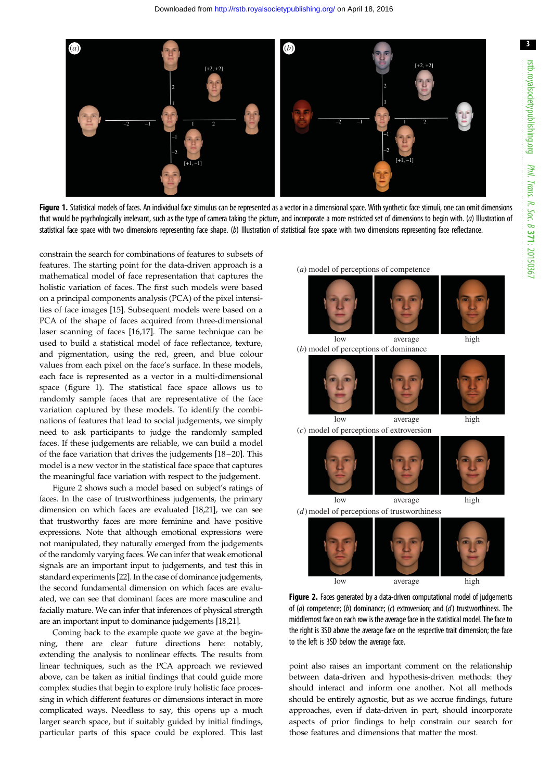

Figure 1. Statistical models of faces. An individual face stimulus can be represented as a vector in a dimensional space. With synthetic face stimuli, one can omit dimensions that would be psychologically irrelevant, such as the type of camera taking the picture, and incorporate a more restricted set of dimensions to begin with. (a) Illustration of statistical face space with two dimensions representing face shape. (b) Illustration of statistical face space with two dimensions representing face reflectance.

constrain the search for combinations of features to subsets of features. The starting point for the data-driven approach is a mathematical model of face representation that captures the holistic variation of faces. The first such models were based on a principal components analysis (PCA) of the pixel intensities of face images [\[15](#page-8-0)]. Subsequent models were based on a PCA of the shape of faces acquired from three-dimensional laser scanning of faces [[16,17](#page-8-0)]. The same technique can be used to build a statistical model of face reflectance, texture, and pigmentation, using the red, green, and blue colour values from each pixel on the face's surface. In these models, each face is represented as a vector in a multi-dimensional space (figure 1). The statistical face space allows us to randomly sample faces that are representative of the face variation captured by these models. To identify the combinations of features that lead to social judgements, we simply need to ask participants to judge the randomly sampled faces. If these judgements are reliable, we can build a model of the face variation that drives the judgements [[18](#page-8-0) –[20\]](#page-8-0). This model is a new vector in the statistical face space that captures the meaningful face variation with respect to the judgement.

Figure 2 shows such a model based on subject's ratings of faces. In the case of trustworthiness judgements, the primary dimension on which faces are evaluated [\[18,21\]](#page-8-0), we can see that trustworthy faces are more feminine and have positive expressions. Note that although emotional expressions were not manipulated, they naturally emerged from the judgements of the randomly varying faces. We can infer that weak emotional signals are an important input to judgements, and test this in standard experiments [\[22](#page-8-0)]. In the case of dominance judgements, the second fundamental dimension on which faces are evaluated, we can see that dominant faces are more masculine and facially mature. We can infer that inferences of physical strength are an important input to dominance judgements [[18,21\]](#page-8-0).

Coming back to the example quote we gave at the beginning, there are clear future directions here: notably, extending the analysis to nonlinear effects. The results from linear techniques, such as the PCA approach we reviewed above, can be taken as initial findings that could guide more complex studies that begin to explore truly holistic face processing in which different features or dimensions interact in more complicated ways. Needless to say, this opens up a much larger search space, but if suitably guided by initial findings, particular parts of this space could be explored. This last

model of perceptions of competence (*a*)



(*b*) model of perceptions of dominance



model of perceptions of extroversion (*c*)



model of perceptions of trustworthiness (*d*) low average high



Figure 2. Faces generated by a data-driven computational model of judgements of (a) competence; (b) dominance; (c) extroversion; and (d) trustworthiness. The middlemost face on each row is the average face in the statistical model. The face to the right is 3SD above the average face on the respective trait dimension; the face to the left is 3SD below the average face.

point also raises an important comment on the relationship between data-driven and hypothesis-driven methods: they should interact and inform one another. Not all methods should be entirely agnostic, but as we accrue findings, future approaches, even if data-driven in part, should incorporate aspects of prior findings to help constrain our search for those features and dimensions that matter the most.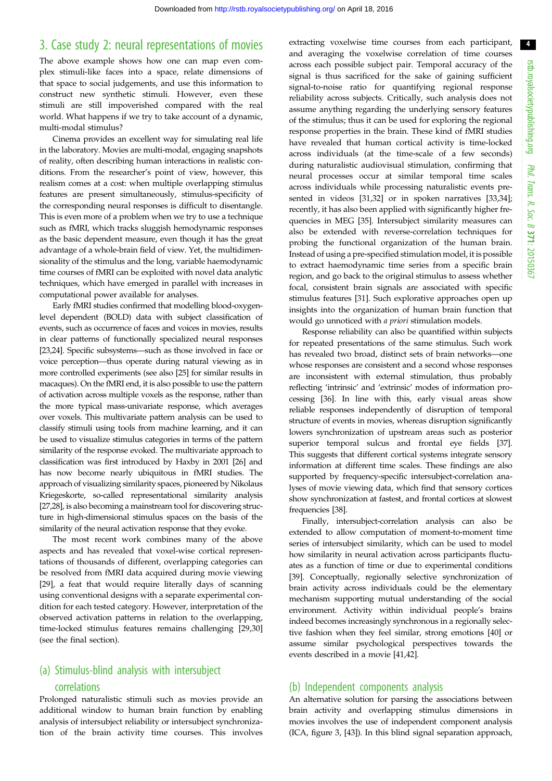# 3. Case study 2: neural representations of movies

The above example shows how one can map even complex stimuli-like faces into a space, relate dimensions of that space to social judgements, and use this information to construct new synthetic stimuli. However, even these stimuli are still impoverished compared with the real world. What happens if we try to take account of a dynamic, multi-modal stimulus?

Cinema provides an excellent way for simulating real life in the laboratory. Movies are multi-modal, engaging snapshots of reality, often describing human interactions in realistic conditions. From the researcher's point of view, however, this realism comes at a cost: when multiple overlapping stimulus features are present simultaneously, stimulus-specificity of the corresponding neural responses is difficult to disentangle. This is even more of a problem when we try to use a technique such as fMRI, which tracks sluggish hemodynamic responses as the basic dependent measure, even though it has the great advantage of a whole-brain field of view. Yet, the multidimensionality of the stimulus and the long, variable haemodynamic time courses of fMRI can be exploited with novel data analytic techniques, which have emerged in parallel with increases in computational power available for analyses.

Early fMRI studies confirmed that modelling blood-oxygenlevel dependent (BOLD) data with subject classification of events, such as occurrence of faces and voices in movies, results in clear patterns of functionally specialized neural responses [\[23,24\]](#page-8-0). Specific subsystems—such as those involved in face or voice perception—thus operate during natural viewing as in more controlled experiments (see also [\[25\]](#page-8-0) for similar results in macaques). On the fMRI end, it is also possible to use the pattern of activation across multiple voxels as the response, rather than the more typical mass-univariate response, which averages over voxels. This multivariate pattern analysis can be used to classify stimuli using tools from machine learning, and it can be used to visualize stimulus categories in terms of the pattern similarity of the response evoked. The multivariate approach to classification was first introduced by Haxby in 2001 [[26](#page-8-0)] and has now become nearly ubiquitous in fMRI studies. The approach of visualizing similarity spaces, pioneered by Nikolaus Kriegeskorte, so-called representational similarity analysis [\[27,28\]](#page-8-0), is also becoming a mainstream tool for discovering structure in high-dimensional stimulus spaces on the basis of the similarity of the neural activation response that they evoke.

The most recent work combines many of the above aspects and has revealed that voxel-wise cortical representations of thousands of different, overlapping categories can be resolved from fMRI data acquired during movie viewing [\[29](#page-8-0)], a feat that would require literally days of scanning using conventional designs with a separate experimental condition for each tested category. However, interpretation of the observed activation patterns in relation to the overlapping, time-locked stimulus features remains challenging [\[29](#page-8-0),[30\]](#page-8-0) (see the final section).

### (a) Stimulus-blind analysis with intersubject correlations

Prolonged naturalistic stimuli such as movies provide an additional window to human brain function by enabling analysis of intersubject reliability or intersubject synchronization of the brain activity time courses. This involves

extracting voxelwise time courses from each participant, and averaging the voxelwise correlation of time courses across each possible subject pair. Temporal accuracy of the signal is thus sacrificed for the sake of gaining sufficient signal-to-noise ratio for quantifying regional response reliability across subjects. Critically, such analysis does not assume anything regarding the underlying sensory features of the stimulus; thus it can be used for exploring the regional response properties in the brain. These kind of fMRI studies have revealed that human cortical activity is time-locked across individuals (at the time-scale of a few seconds) during naturalistic audiovisual stimulation, confirming that neural processes occur at similar temporal time scales across individuals while processing naturalistic events presented in videos [[31,32\]](#page-8-0) or in spoken narratives [\[33](#page-8-0),[34\]](#page-8-0); recently, it has also been applied with significantly higher frequencies in MEG [[35\]](#page-8-0). Intersubject similarity measures can also be extended with reverse-correlation techniques for probing the functional organization of the human brain. Instead of using a pre-specified stimulation model, it is possible to extract haemodynamic time series from a specific brain region, and go back to the original stimulus to assess whether focal, consistent brain signals are associated with specific stimulus features [[31](#page-8-0)]. Such explorative approaches open up insights into the organization of human brain function that would go unnoticed with a priori stimulation models.

Response reliability can also be quantified within subjects for repeated presentations of the same stimulus. Such work has revealed two broad, distinct sets of brain networks—one whose responses are consistent and a second whose responses are inconsistent with external stimulation, thus probably reflecting 'intrinsic' and 'extrinsic' modes of information processing [[36\]](#page-8-0). In line with this, early visual areas show reliable responses independently of disruption of temporal structure of events in movies, whereas disruption significantly lowers synchronization of upstream areas such as posterior superior temporal sulcus and frontal eye fields [[37\]](#page-8-0). This suggests that different cortical systems integrate sensory information at different time scales. These findings are also supported by frequency-specific intersubject-correlation analyses of movie viewing data, which find that sensory cortices show synchronization at fastest, and frontal cortices at slowest frequencies [\[38\]](#page-8-0).

Finally, intersubject-correlation analysis can also be extended to allow computation of moment-to-moment time series of intersubject similarity, which can be used to model how similarity in neural activation across participants fluctuates as a function of time or due to experimental conditions [[39](#page-8-0)]. Conceptually, regionally selective synchronization of brain activity across individuals could be the elementary mechanism supporting mutual understanding of the social environment. Activity within individual people's brains indeed becomes increasingly synchronous in a regionally selective fashion when they feel similar, strong emotions [\[40\]](#page-8-0) or assume similar psychological perspectives towards the events described in a movie [\[41,42\]](#page-8-0).

#### (b) Independent components analysis

An alternative solution for parsing the associations between brain activity and overlapping stimulus dimensions in movies involves the use of independent component analysis (ICA, [figure 3](#page-4-0), [\[43\]](#page-8-0)). In this blind signal separation approach,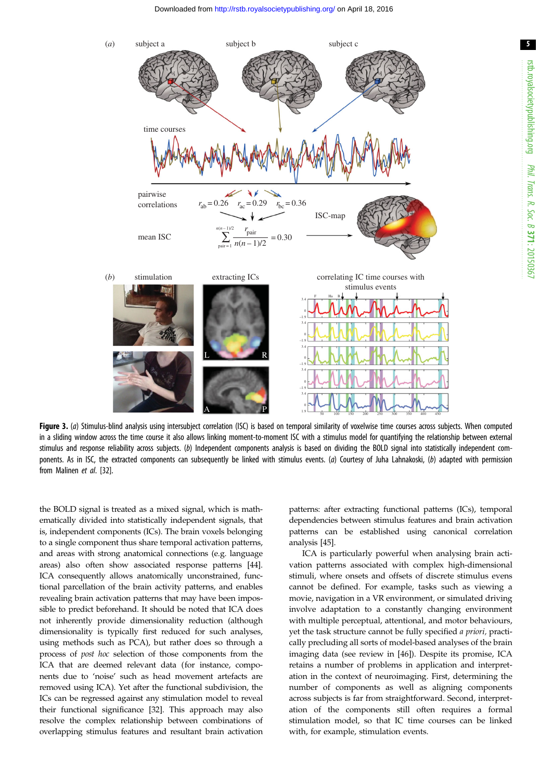<span id="page-4-0"></span>

Figure 3. (a) Stimulus-blind analysis using intersubject correlation (ISC) is based on temporal similarity of voxelwise time courses across subjects. When computed in a sliding window across the time course it also allows linking moment-to-moment ISC with a stimulus model for quantifying the relationship between external stimulus and response reliability across subjects. (b) Independent components analysis is based on dividing the BOLD signal into statistically independent components. As in ISC, the extracted components can subsequently be linked with stimulus events. (a) Courtesy of Juha Lahnakoski, (b) adapted with permission from Malinen et al. [\[32\]](#page-8-0).

the BOLD signal is treated as a mixed signal, which is mathematically divided into statistically independent signals, that is, independent components (ICs). The brain voxels belonging to a single component thus share temporal activation patterns, and areas with strong anatomical connections (e.g. language areas) also often show associated response patterns [[44](#page-8-0)]. ICA consequently allows anatomically unconstrained, functional parcellation of the brain activity patterns, and enables revealing brain activation patterns that may have been impossible to predict beforehand. It should be noted that ICA does not inherently provide dimensionality reduction (although dimensionality is typically first reduced for such analyses, using methods such as PCA), but rather does so through a process of post hoc selection of those components from the ICA that are deemed relevant data (for instance, components due to 'noise' such as head movement artefacts are removed using ICA). Yet after the functional subdivision, the ICs can be regressed against any stimulation model to reveal their functional significance [\[32](#page-8-0)]. This approach may also resolve the complex relationship between combinations of overlapping stimulus features and resultant brain activation

patterns: after extracting functional patterns (ICs), temporal dependencies between stimulus features and brain activation patterns can be established using canonical correlation analysis [\[45](#page-9-0)].

ICA is particularly powerful when analysing brain activation patterns associated with complex high-dimensional stimuli, where onsets and offsets of discrete stimulus evens cannot be defined. For example, tasks such as viewing a movie, navigation in a VR environment, or simulated driving involve adaptation to a constantly changing environment with multiple perceptual, attentional, and motor behaviours, yet the task structure cannot be fully specified a priori, practically precluding all sorts of model-based analyses of the brain imaging data (see review in [[46\]](#page-9-0)). Despite its promise, ICA retains a number of problems in application and interpretation in the context of neuroimaging. First, determining the number of components as well as aligning components across subjects is far from straightforward. Second, interpretation of the components still often requires a formal stimulation model, so that IC time courses can be linked with, for example, stimulation events.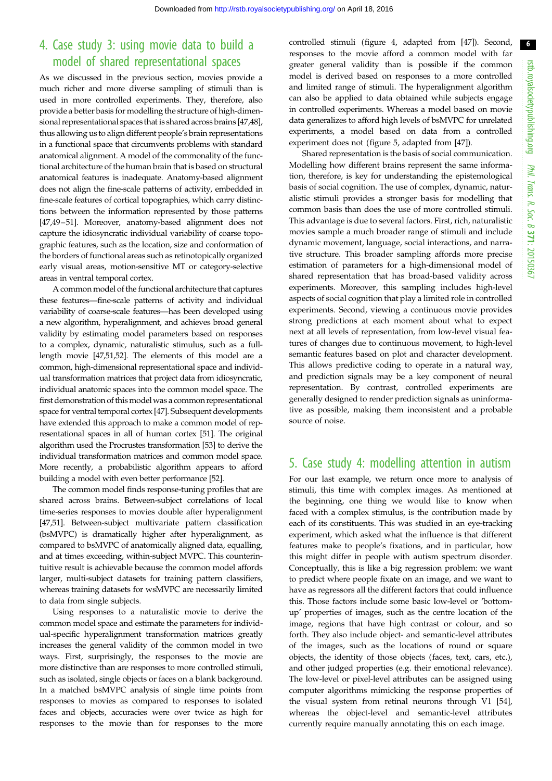# 4. Case study 3: using movie data to build a model of shared representational spaces

As we discussed in the previous section, movies provide a much richer and more diverse sampling of stimuli than is used in more controlled experiments. They, therefore, also provide a better basis for modelling the structure of high-dimensional representational spaces that is shared across brains [[47,48](#page-9-0)], thus allowing us to align different people's brain representations in a functional space that circumvents problems with standard anatomical alignment. A model of the commonality of the functional architecture of the human brain that is based on structural anatomical features is inadequate. Anatomy-based alignment does not align the fine-scale patterns of activity, embedded in fine-scale features of cortical topographies, which carry distinctions between the information represented by those patterns [\[47,49](#page-9-0)–[51\]](#page-9-0). Moreover, anatomy-based alignment does not capture the idiosyncratic individual variability of coarse topographic features, such as the location, size and conformation of the borders of functional areas such as retinotopically organized early visual areas, motion-sensitive MT or category-selective areas in ventral temporal cortex.

A common model of the functional architecture that captures these features—fine-scale patterns of activity and individual variability of coarse-scale features—has been developed using a new algorithm, hyperalignment, and achieves broad general validity by estimating model parameters based on responses to a complex, dynamic, naturalistic stimulus, such as a fulllength movie [\[47,51,52](#page-9-0)]. The elements of this model are a common, high-dimensional representational space and individual transformation matrices that project data from idiosyncratic, individual anatomic spaces into the common model space. The first demonstration of this model was a common representational space for ventral temporal cortex [\[47\]](#page-9-0). Subsequent developments have extended this approach to make a common model of representational spaces in all of human cortex [[51](#page-9-0)]. The original algorithm used the Procrustes transformation [\[53\]](#page-9-0) to derive the individual transformation matrices and common model space. More recently, a probabilistic algorithm appears to afford building a model with even better performance [\[52](#page-9-0)].

The common model finds response-tuning profiles that are shared across brains. Between-subject correlations of local time-series responses to movies double after hyperalignment [\[47,51](#page-9-0)]. Between-subject multivariate pattern classification (bsMVPC) is dramatically higher after hyperalignment, as compared to bsMVPC of anatomically aligned data, equalling, and at times exceeding, within-subject MVPC. This counterintuitive result is achievable because the common model affords larger, multi-subject datasets for training pattern classifiers, whereas training datasets for wsMVPC are necessarily limited to data from single subjects.

Using responses to a naturalistic movie to derive the common model space and estimate the parameters for individual-specific hyperalignment transformation matrices greatly increases the general validity of the common model in two ways. First, surprisingly, the responses to the movie are more distinctive than are responses to more controlled stimuli, such as isolated, single objects or faces on a blank background. In a matched bsMVPC analysis of single time points from responses to movies as compared to responses to isolated faces and objects, accuracies were over twice as high for responses to the movie than for responses to the more

controlled stimuli ([figure 4,](#page-6-0) adapted from [\[47\]](#page-9-0)). Second, responses to the movie afford a common model with far greater general validity than is possible if the common model is derived based on responses to a more controlled and limited range of stimuli. The hyperalignment algorithm can also be applied to data obtained while subjects engage in controlled experiments. Whereas a model based on movie data generalizes to afford high levels of bsMVPC for unrelated experiments, a model based on data from a controlled experiment does not [\(figure 5,](#page-6-0) adapted from [\[47\]](#page-9-0)).

Shared representation is the basis of social communication. Modelling how different brains represent the same information, therefore, is key for understanding the epistemological basis of social cognition. The use of complex, dynamic, naturalistic stimuli provides a stronger basis for modelling that common basis than does the use of more controlled stimuli. This advantage is due to several factors. First, rich, naturalistic movies sample a much broader range of stimuli and include dynamic movement, language, social interactions, and narrative structure. This broader sampling affords more precise estimation of parameters for a high-dimensional model of shared representation that has broad-based validity across experiments. Moreover, this sampling includes high-level aspects of social cognition that play a limited role in controlled experiments. Second, viewing a continuous movie provides strong predictions at each moment about what to expect next at all levels of representation, from low-level visual features of changes due to continuous movement, to high-level semantic features based on plot and character development. This allows predictive coding to operate in a natural way, and prediction signals may be a key component of neural representation. By contrast, controlled experiments are generally designed to render prediction signals as uninformative as possible, making them inconsistent and a probable source of noise.

## 5. Case study 4: modelling attention in autism

For our last example, we return once more to analysis of stimuli, this time with complex images. As mentioned at the beginning, one thing we would like to know when faced with a complex stimulus, is the contribution made by each of its constituents. This was studied in an eye-tracking experiment, which asked what the influence is that different features make to people's fixations, and in particular, how this might differ in people with autism spectrum disorder. Conceptually, this is like a big regression problem: we want to predict where people fixate on an image, and we want to have as regressors all the different factors that could influence this. Those factors include some basic low-level or 'bottomup' properties of images, such as the centre location of the image, regions that have high contrast or colour, and so forth. They also include object- and semantic-level attributes of the images, such as the locations of round or square objects, the identity of those objects (faces, text, cars, etc.), and other judged properties (e.g. their emotional relevance). The low-level or pixel-level attributes can be assigned using computer algorithms mimicking the response properties of the visual system from retinal neurons through V1 [[54\]](#page-9-0), whereas the object-level and semantic-level attributes currently require manually annotating this on each image.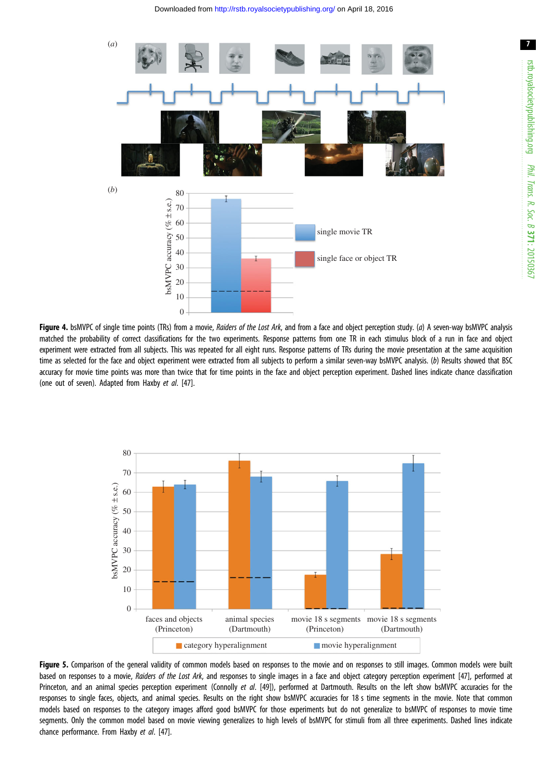<span id="page-6-0"></span>

Figure 4. bsMVPC of single time points (TRs) from a movie, Raiders of the Lost Ark, and from a face and object perception study. (a) A seven-way bsMVPC analysis matched the probability of correct classifications for the two experiments. Response patterns from one TR in each stimulus block of a run in face and object experiment were extracted from all subjects. This was repeated for all eight runs. Response patterns of TRs during the movie presentation at the same acquisition time as selected for the face and object experiment were extracted from all subjects to perform a similar seven-way bsMVPC analysis. (b) Results showed that BSC accuracy for movie time points was more than twice that for time points in the face and object perception experiment. Dashed lines indicate chance classification (one out of seven). Adapted from Haxby et al. [\[47\]](#page-9-0).



Figure 5. Comparison of the general validity of common models based on responses to the movie and on responses to still images. Common models were built based on responses to a movie. Raiders of the Lost Ark, and responses to single images in a face and object category perception experiment [[47](#page-9-0)], performed at Princeton, and an animal species perception experiment (Connolly et al. [[49](#page-9-0)]), performed at Dartmouth. Results on the left show bsMVPC accuracies for the responses to single faces, objects, and animal species. Results on the right show bsMVPC accuracies for 18 s time segments in the movie. Note that common models based on responses to the category images afford good bsMVPC for those experiments but do not generalize to bsMVPC of responses to movie time segments. Only the common model based on movie viewing generalizes to high levels of bsMVPC for stimuli from all three experiments. Dashed lines indicate chance performance. From Haxby et al. [\[47\]](#page-9-0).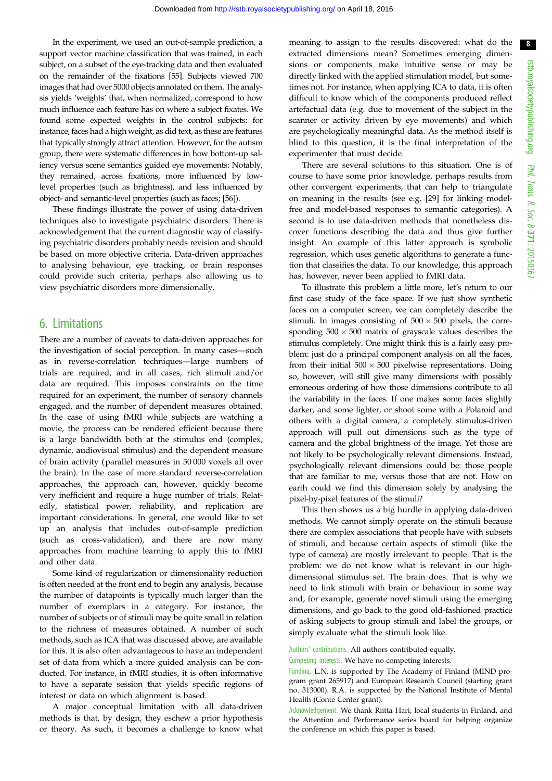In the experiment, we used an out-of-sample prediction, a support vector machine classification that was trained, in each subject, on a subset of the eye-tracking data and then evaluated on the remainder of the fixations [[55](#page-9-0)]. Subjects viewed 700 images that had over 5000 objects annotated on them. The analysis yields 'weights' that, when normalized, correspond to how much influence each feature has on where a subject fixates. We found some expected weights in the control subjects: for instance, faces had a high weight, as did text, as these are features that typically strongly attract attention. However, for the autism group, there were systematic differences in how bottom-up saliency versus scene semantics guided eye movements: Notably, they remained, across fixations, more influenced by lowlevel properties (such as brightness), and less influenced by object- and semantic-level properties (such as faces; [[56](#page-9-0)]).

These findings illustrate the power of using data-driven techniques also to investigate psychiatric disorders. There is acknowledgement that the current diagnostic way of classifying psychiatric disorders probably needs revision and should be based on more objective criteria. Data-driven approaches to analysing behaviour, eye tracking, or brain responses could provide such criteria, perhaps also allowing us to view psychiatric disorders more dimensionally.

### 6. Limitations

There are a number of caveats to data-driven approaches for the investigation of social perception. In many cases—such as in reverse-correlation techniques—large numbers of trials are required, and in all cases, rich stimuli and/or data are required. This imposes constraints on the time required for an experiment, the number of sensory channels engaged, and the number of dependent measures obtained. In the case of using fMRI while subjects are watching a movie, the process can be rendered efficient because there is a large bandwidth both at the stimulus end (complex, dynamic, audiovisual stimulus) and the dependent measure of brain activity (parallel measures in 50 000 voxels all over the brain). In the case of more standard reverse-correlation approaches, the approach can, however, quickly become very inefficient and require a huge number of trials. Relatedly, statistical power, reliability, and replication are important considerations. In general, one would like to set up an analysis that includes out-of-sample prediction (such as cross-validation), and there are now many approaches from machine learning to apply this to fMRI and other data.

Some kind of regularization or dimensionality reduction is often needed at the front end to begin any analysis, because the number of datapoints is typically much larger than the number of exemplars in a category. For instance, the number of subjects or of stimuli may be quite small in relation to the richness of measures obtained. A number of such methods, such as ICA that was discussed above, are available for this. It is also often advantageous to have an independent set of data from which a more guided analysis can be conducted. For instance, in fMRI studies, it is often informative to have a separate session that yields specific regions of interest or data on which alignment is based.

A major conceptual limitation with all data-driven methods is that, by design, they eschew a prior hypothesis or theory. As such, it becomes a challenge to know what meaning to assign to the results discovered: what do the extracted dimensions mean? Sometimes emerging dimensions or components make intuitive sense or may be directly linked with the applied stimulation model, but sometimes not. For instance, when applying ICA to data, it is often difficult to know which of the components produced reflect artefactual data (e.g. due to movement of the subject in the scanner or activity driven by eye movements) and which are psychologically meaningful data. As the method itself is blind to this question, it is the final interpretation of the experimenter that must decide.

There are several solutions to this situation. One is of course to have some prior knowledge, perhaps results from other convergent experiments, that can help to triangulate on meaning in the results (see e.g. [[29\]](#page-8-0) for linking modelfree and model-based responses to semantic categories). A second is to use data-driven methods that nonetheless discover functions describing the data and thus give further insight. An example of this latter approach is symbolic regression, which uses genetic algorithms to generate a function that classifies the data. To our knowledge, this approach has, however, never been applied to fMRI data.

To illustrate this problem a little more, let's return to our first case study of the face space. If we just show synthetic faces on a computer screen, we can completely describe the stimuli. In images consisting of  $500 \times 500$  pixels, the corresponding  $500 \times 500$  matrix of grayscale values describes the stimulus completely. One might think this is a fairly easy problem: just do a principal component analysis on all the faces, from their initial  $500 \times 500$  pixelwise representations. Doing so, however, will still give many dimensions with possibly erroneous ordering of how those dimensions contribute to all the variability in the faces. If one makes some faces slightly darker, and some lighter, or shoot some with a Polaroid and others with a digital camera, a completely stimulus-driven approach will pull out dimensions such as the type of camera and the global brightness of the image. Yet those are not likely to be psychologically relevant dimensions. Instead, psychologically relevant dimensions could be: those people that are familiar to me, versus those that are not. How on earth could we find this dimension solely by analysing the pixel-by-pixel features of the stimuli?

This then shows us a big hurdle in applying data-driven methods. We cannot simply operate on the stimuli because there are complex associations that people have with subsets of stimuli, and because certain aspects of stimuli (like the type of camera) are mostly irrelevant to people. That is the problem: we do not know what is relevant in our highdimensional stimulus set. The brain does. That is why we need to link stimuli with brain or behaviour in some way and, for example, generate novel stimuli using the emerging dimensions, and go back to the good old-fashioned practice of asking subjects to group stimuli and label the groups, or simply evaluate what the stimuli look like.

Authors' contributions. All authors contributed equally.

Competing interests. We have no competing interests.

Funding. L.N. is supported by The Academy of Finland (MIND program grant 265917) and European Research Council (starting grant no. 313000). R.A. is supported by the National Institute of Mental Health (Conte Center grant).

Acknowledgement. We thank Riitta Hari, local students in Finland, and the Attention and Performance series board for helping organize the conference on which this paper is based.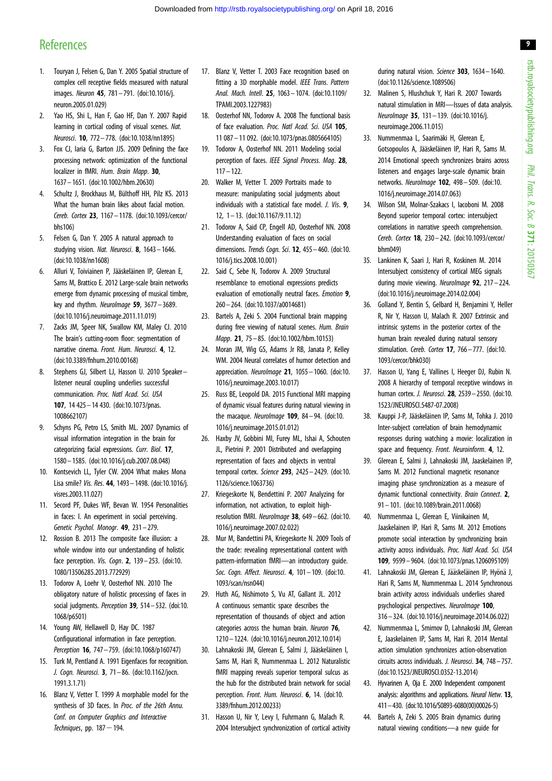### <span id="page-8-0"></span>**References**

- 1. Touryan J, Felsen G, Dan Y. 2005 Spatial structure of complex cell receptive fields measured with natural images. Neuron 45, 781– 791. [\(doi:10.1016/j.](http://dx.doi.org/10.1016/j.neuron.2005.01.029) [neuron.2005.01.029\)](http://dx.doi.org/10.1016/j.neuron.2005.01.029)
- 2. Yao HS, Shi L, Han F, Gao HF, Dan Y. 2007 Rapid learning in cortical coding of visual scenes. Nat. Neurosci. 10, 772– 778. ([doi:10.1038/nn1895](http://dx.doi.org/10.1038/nn1895))
- 3. Fox CJ, Iaria G, Barton JJS. 2009 Defining the face processing network: optimization of the functional localizer in fMRI. Hum. Brain Mapp. 30, 1637 – 1651. [\(doi:10.1002/hbm.20630](http://dx.doi.org/10.1002/hbm.20630))
- 4. Schultz J, Brockhaus M, Bülthoff HH, Pilz KS, 2013 What the human brain likes about facial motion. Cereb. Cortex 23, 1167– 1178. ([doi:10.1093/cercor/](http://dx.doi.org/10.1093/cercor/bhs106) [bhs106\)](http://dx.doi.org/10.1093/cercor/bhs106)
- 5. Felsen G, Dan Y. 2005 A natural approach to studying vision. Nat. Neurosci. 8, 1643– 1646. [\(doi:10.1038/nn1608\)](http://dx.doi.org/10.1038/nn1608)
- 6. Alluri V, Toiviainen P, Jääskeläinen IP, Glerean E, Sams M, Brattico E. 2012 Large-scale brain networks emerge from dynamic processing of musical timbre, key and rhythm. Neurolmage  $59$ ,  $3677 - 3689$ . [\(doi:10.1016/j.neuroimage.2011.11.019](http://dx.doi.org/10.1016/j.neuroimage.2011.11.019))
- 7. Zacks JM, Speer NK, Swallow KM, Maley CJ. 2010 The brain's cutting-room floor: segmentation of narrative cinema. Front. Hum. Neurosci. 4, 12. [\(doi:10.3389/fnhum.2010.00168\)](http://dx.doi.org/10.3389/fnhum.2010.00168)
- 8. Stephens GJ, Silbert LJ, Hasson U. 2010 Speaker– listener neural coupling underlies successful communication. Proc. Natl Acad. Sci. USA 107, 14 425– 14 430. ([doi:10.1073/pnas.](http://dx.doi.org/10.1073/pnas.1008662107) [1008662107\)](http://dx.doi.org/10.1073/pnas.1008662107)
- 9. Schyns PG, Petro LS, Smith ML. 2007 Dynamics of visual information integration in the brain for categorizing facial expressions. Curr. Biol. 17, 1580 – 1585. [\(doi:10.1016/j.cub.2007.08.048](http://dx.doi.org/10.1016/j.cub.2007.08.048))
- 10. Kontsevich LL, Tyler CW. 2004 What makes Mona Lisa smile? Vis. Res. 44, 1493– 1498. [\(doi:10.1016/j.](http://dx.doi.org/10.1016/j.visres.2003.11.027) [visres.2003.11.027](http://dx.doi.org/10.1016/j.visres.2003.11.027))
- 11. Secord PF, Dukes WF, Bevan W. 1954 Personalities in faces: I. An experiment in social perceiving. Genetic Psychol. Monogr. 49, 231– 279.
- 12. Rossion B. 2013 The composite face illusion: a whole window into our understanding of holistic face perception. Vis. Cogn. 2, 139– 253. ([doi:10.](http://dx.doi.org/10.1080/13506285.2013.772929) [1080/13506285.2013.772929](http://dx.doi.org/10.1080/13506285.2013.772929))
- 13. Todorov A, Loehr V, Oosterhof NN. 2010 The obligatory nature of holistic processing of faces in social judgments. Perception 39, 514-532. ([doi:10.](http://dx.doi.org/10.1068/p6501) [1068/p6501](http://dx.doi.org/10.1068/p6501))
- 14. Young AW, Hellawell D, Hay DC. 1987 Configurational information in face perception. Perception 16, 747– 759. [\(doi:10.1068/p160747\)](http://dx.doi.org/10.1068/p160747)
- 15. Turk M, Pentland A. 1991 Eigenfaces for recognition. J. Cogn. Neurosci. 3, 71 – 86. [\(doi:10.1162/jocn.](http://dx.doi.org/10.1162/jocn.1991.3.1.71) [1991.3.1.71](http://dx.doi.org/10.1162/jocn.1991.3.1.71))
- 16. Blanz V, Vetter T. 1999 A morphable model for the synthesis of 3D faces. In Proc. of the 26th Annu. Conf. on Computer Graphics and Interactive Techniques, pp.  $187 - 194$ .
- 17. Blanz V, Vetter T. 2003 Face recognition based on fitting a 3D morphable model. IEEE Trans. Pattern Anal. Mach. Intell. 25, 1063 – 1074. [\(doi:10.1109/](http://dx.doi.org/10.1109/TPAMI.2003.1227983) [TPAMI.2003.1227983\)](http://dx.doi.org/10.1109/TPAMI.2003.1227983)
- 18. Oosterhof NN, Todorov A. 2008 The functional basis of face evaluation. Proc. Natl Acad. Sci. USA 105, 11 087– 11 092. [\(doi:10.1073/pnas.0805664105](http://dx.doi.org/10.1073/pnas.0805664105))
- 19. Todorov A, Oosterhof NN. 2011 Modeling social perception of faces. IEEE Signal Process. Mag. 28,  $117 - 122$
- 20. Walker M, Vetter T. 2009 Portraits made to measure: manipulating social judgments about individuals with a statistical face model. J. Vis. 9, 12, 1– 13. ([doi:10.1167/9.11.12](http://dx.doi.org/10.1167/9.11.12))
- 21. Todorov A, Said CP, Engell AD, Oosterhof NN. 2008 Understanding evaluation of faces on social dimensions. Trends Cogn. Sci. 12, 455– 460. [\(doi:10.](http://dx.doi.org/10.1016/j.tics.2008.10.001) [1016/j.tics.2008.10.001\)](http://dx.doi.org/10.1016/j.tics.2008.10.001)
- 22. Said C, Sebe N, Todorov A. 2009 Structural resemblance to emotional expressions predicts evaluation of emotionally neutral faces. *Emotion* 9. 260 – 264. [\(doi:10.1037/a0014681\)](http://dx.doi.org/10.1037/a0014681)
- 23. Bartels A, Zeki S. 2004 Functional brain mapping during free viewing of natural scenes. Hum. Brain Mapp. 21, 75 – 85. ([doi:10.1002/hbm.10153\)](http://dx.doi.org/10.1002/hbm.10153)
- 24. Moran JM, Wig GS, Adams Jr RB, Janata P, Kelley WM. 2004 Neural correlates of humor detection and appreciation. NeuroImage  $21$ , 1055 - 1060. ([doi:10.](http://dx.doi.org/10.1016/j.neuroimage.2003.10.017) [1016/j.neuroimage.2003.10.017](http://dx.doi.org/10.1016/j.neuroimage.2003.10.017))
- 25. Russ BE, Leopold DA. 2015 Functional MRI mapping of dynamic visual features during natural viewing in the macaque. Neurolmage  $109$ ,  $84 - 94$ . [\(doi:10.](http://dx.doi.org/10.1016/j.neuroimage.2015.01.012) [1016/j.neuroimage.2015.01.012](http://dx.doi.org/10.1016/j.neuroimage.2015.01.012))
- 26. Haxby JV, Gobbini MI, Furey ML, Ishai A, Schouten JL, Pietrini P. 2001 Distributed and overlapping representation of faces and objects in ventral temporal cortex. Science 293, 2425– 2429. [\(doi:10.](http://dx.doi.org/10.1126/science.1063736) [1126/science.1063736](http://dx.doi.org/10.1126/science.1063736))
- 27. Kriegeskorte N, Bendettini P. 2007 Analyzing for information, not activation, to exploit high-resolution fMRI. NeuroImage 38, 649-662. [\(doi:10.](http://dx.doi.org/10.1016/j.neuroimage.2007.02.022) [1016/j.neuroimage.2007.02.022](http://dx.doi.org/10.1016/j.neuroimage.2007.02.022))
- 28. Mur M, Bandettini PA, Kriegeskorte N. 2009 Tools of the trade: revealing representational content with pattern-information fMRI—an introductory guide. Soc. Cogn. Affect. Neurosci. 4, 101-109. [\(doi:10.](http://dx.doi.org/10.1093/scan/nsn044) [1093/scan/nsn044\)](http://dx.doi.org/10.1093/scan/nsn044)
- 29. Huth AG, Nishimoto S, Vu AT, Gallant JL. 2012 A continuous semantic space describes the representation of thousands of object and action categories across the human brain. Neuron 76, 1210 – 1224. [\(doi:10.1016/j.neuron.2012.10.014\)](http://dx.doi.org/10.1016/j.neuron.2012.10.014)
- 30. Lahnakoski JM, Glerean E, Salmi J, Jääskeläinen I, Sams M, Hari R, Nummenmaa L. 2012 Naturalistic fMRI mapping reveals superior temporal sulcus as the hub for the distributed brain network for social perception. Front. Hum. Neurosci. 6, 14. ([doi:10.](http://dx.doi.org/10.3389/fnhum.2012.00233) [3389/fnhum.2012.00233\)](http://dx.doi.org/10.3389/fnhum.2012.00233)
- 31. Hasson U, Nir Y, Levy I, Fuhrmann G, Malach R. 2004 Intersubject synchronization of cortical activity

during natural vision. Science 303, 1634– 1640. ([doi:10.1126/science.1089506](http://dx.doi.org/10.1126/science.1089506))

- 32. Malinen S, Hlushchuk Y, Hari R. 2007 Towards natural stimulation in MRI—Issues of data analysis. NeuroImage 35, 131– 139. ([doi:10.1016/j.](http://dx.doi.org/10.1016/j.neuroimage.2006.11.015) [neuroimage.2006.11.015\)](http://dx.doi.org/10.1016/j.neuroimage.2006.11.015)
- 33. Nummenmaa L, Saarimäki H, Glerean E, Gotsopoulos A, Jääskeläinen IP, Hari R, Sams M, 2014 Emotional speech synchronizes brains across listeners and engages large-scale dynamic brain networks. NeuroImage 102, 498– 509. [\(doi:10.](http://dx.doi.org/10.1016/j.neuroimage.2014.07.063) [1016/j.neuroimage.2014.07.063](http://dx.doi.org/10.1016/j.neuroimage.2014.07.063))
- 34. Wilson SM, Molnar-Szakacs I, Iacoboni M. 2008 Beyond superior temporal cortex: intersubject correlations in narrative speech comprehension. Cereb. Cortex 18, 230– 242. ([doi:10.1093/cercor/](http://dx.doi.org/10.1093/cercor/bhm049) [bhm049](http://dx.doi.org/10.1093/cercor/bhm049))
- 35. Lankinen K, Saari J, Hari R, Koskinen M. 2014 Intersubject consistency of cortical MEG signals during movie viewing. Neurolmage  $92$ ,  $217 - 224$ . ([doi:10.1016/j.neuroimage.2014.02.004](http://dx.doi.org/10.1016/j.neuroimage.2014.02.004))
- 36. Golland Y, Bentin S, Gelbard H, Benjamini Y, Heller R, Nir Y, Hasson U, Malach R. 2007 Extrinsic and intrinsic systems in the posterior cortex of the human brain revealed during natural sensory stimulation. Cereb. Cortex 17, 766– 777. [\(doi:10.](http://dx.doi.org/10.1093/cercor/bhk030) [1093/cercor/bhk030](http://dx.doi.org/10.1093/cercor/bhk030))
- 37. Hasson U, Yang E, Vallines I, Heeger DJ, Rubin N. 2008 A hierarchy of temporal receptive windows in human cortex. J. Neurosci. 28, 2539 – 2550. [\(doi:10.](http://dx.doi.org/10.1523/JNEUROSCI.5487-07.2008) [1523/JNEUROSCI.5487-07.2008](http://dx.doi.org/10.1523/JNEUROSCI.5487-07.2008))
- 38. Kauppi J-P, Jääskeläinen IP, Sams M, Tohka J. 2010 Inter-subject correlation of brain hemodynamic responses during watching a movie: localization in space and frequency. Front. Neuroinform. 4, 12.
- 39. Glerean E, Salmi J, Lahnakoski JM, Jaaskelainen IP, Sams M. 2012 Functional magnetic resonance imaging phase synchronization as a measure of dynamic functional connectivity. Brain Connect. 2, 91– 101. ([doi:10.1089/brain.2011.0068\)](http://dx.doi.org/10.1089/brain.2011.0068)
- 40. Nummenmaa L, Glerean E, Viinikainen M, Jaaskelainen IP, Hari R, Sams M. 2012 Emotions promote social interaction by synchronizing brain activity across individuals. Proc. Natl Acad. Sci. USA 109, 9599– 9604. ([doi:10.1073/pnas.1206095109\)](http://dx.doi.org/10.1073/pnas.1206095109)
- 41. Lahnakoski JM, Glerean E, Jääskeläinen IP, Hyönä J, Hari R, Sams M, Nummenmaa L. 2014 Synchronous brain activity across individuals underlies shared psychological perspectives. NeuroImage 100, 316– 324. [\(doi:10.1016/j.neuroimage.2014.06.022](http://dx.doi.org/10.1016/j.neuroimage.2014.06.022))
- 42. Nummenmaa L, Smirnov D, Lahnakoski JM, Glerean E, Jaaskelainen IP, Sams M, Hari R. 2014 Mental action simulation synchronizes action-observation circuits across individuals. J. Neurosci. 34, 748 – 757. ([doi:10.1523/JNEUROSCI.0352-13.2014](http://dx.doi.org/10.1523/JNEUROSCI.0352-13.2014))
- 43. Hyvarinen A, Oja E. 2000 Independent component analysis: algorithms and applications. Neural Netw. 13, 411–430. ([doi:10.1016/S0893-6080\(00\)00026-5](http://dx.doi.org/10.1016/S0893-6080(00)00026-5))
- 44. Bartels A, Zeki S. 2005 Brain dynamics during natural viewing conditions—a new guide for